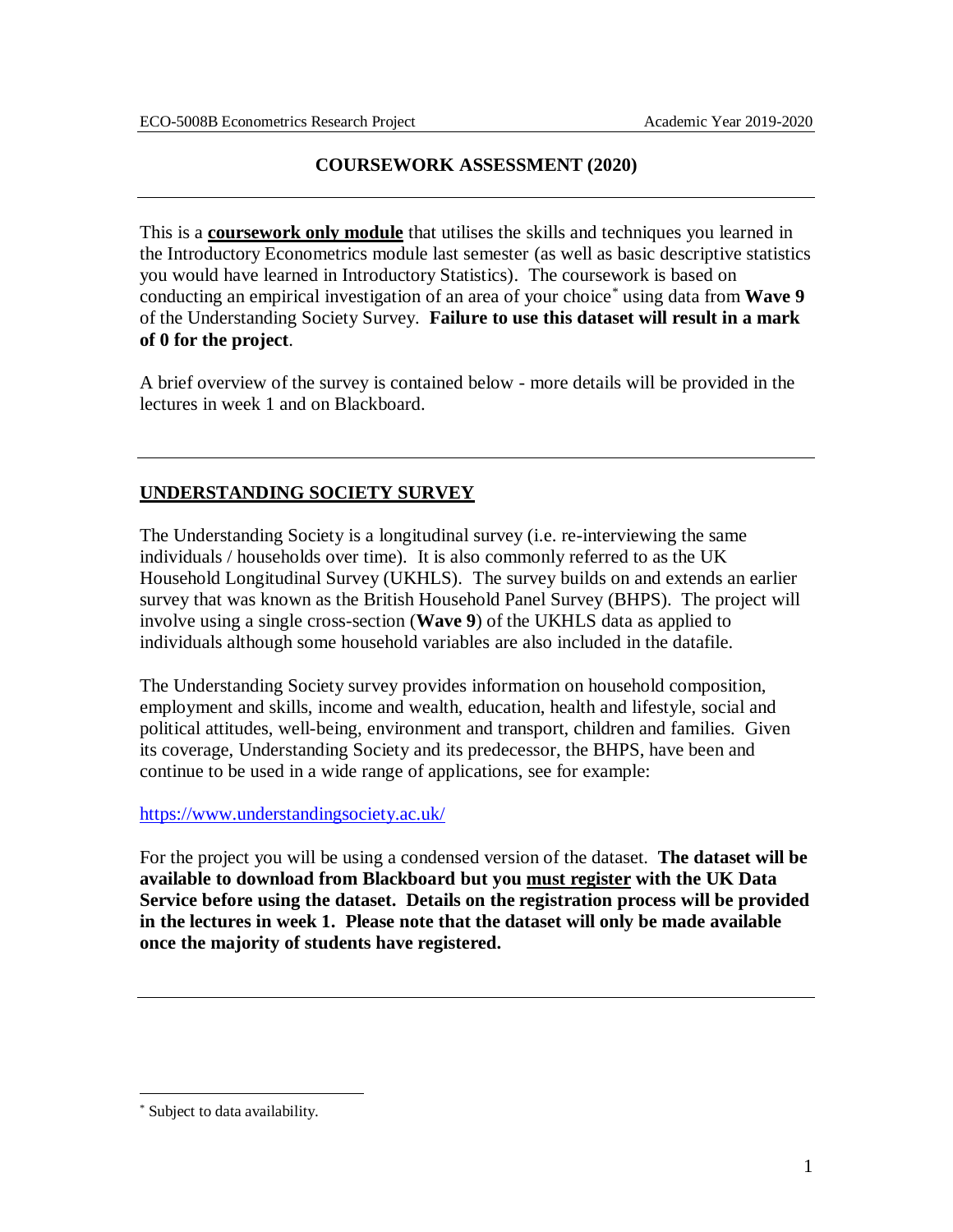## **COURSEWORK ASSESSMENT (2020)**

This is a **coursework only module** that utilises the skills and techniques you learned in the Introductory Econometrics module last semester (as well as basic descriptive statistics you would have learned in Introductory Statistics). The coursework is based on conducting an empirical investigation of an area of your choice\* using data from **Wave 9** of the Understanding Society Survey. **Failure to use this dataset will result in a mark of 0 for the project**.

A brief overview of the survey is contained below - more details will be provided in the lectures in week 1 and on Blackboard.

# **UNDERSTANDING SOCIETY SURVEY**

The Understanding Society is a longitudinal survey (i.e. re-interviewing the same individuals / households over time). It is also commonly referred to as the UK Household Longitudinal Survey (UKHLS). The survey builds on and extends an earlier survey that was known as the British Household Panel Survey (BHPS). The project will involve using a single cross-section (**Wave 9**) of the UKHLS data as applied to individuals although some household variables are also included in the datafile.

The Understanding Society survey provides information on household composition, employment and skills, income and wealth, education, health and lifestyle, social and political attitudes, well-being, environment and transport, children and families. Given its coverage, Understanding Society and its predecessor, the BHPS, have been and continue to be used in a wide range of applications, see for example:

## <https://www.understandingsociety.ac.uk/>

For the project you will be using a condensed version of the dataset. **The dataset will be available to download from Blackboard but you must register with the UK Data Service before using the dataset. Details on the registration process will be provided in the lectures in week 1. Please note that the dataset will only be made available once the majority of students have registered.** 

 $\overline{a}$ 

<sup>\*</sup> Subject to data availability.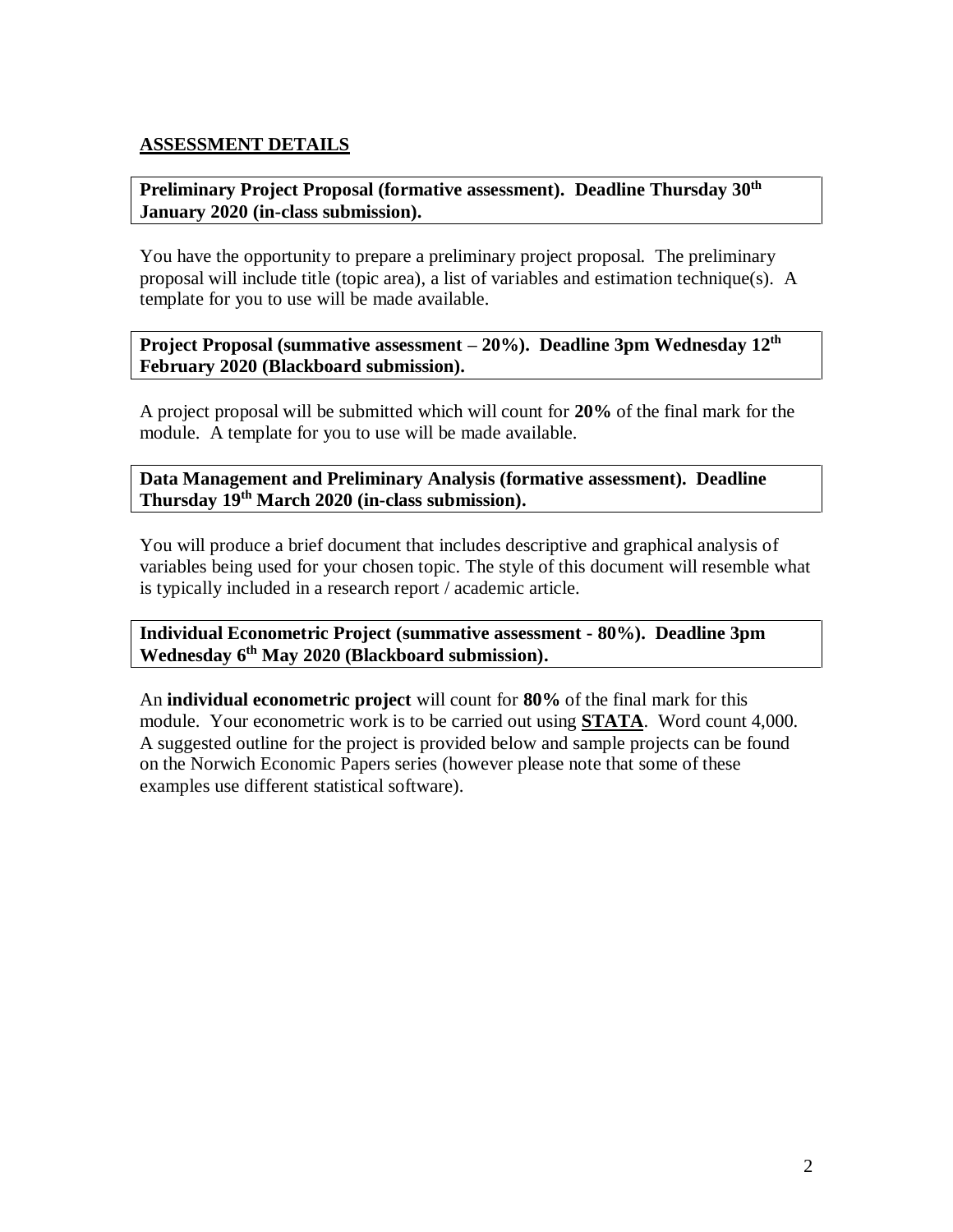## **ASSESSMENT DETAILS**

## **Preliminary Project Proposal (formative assessment). Deadline Thursday 30th January 2020 (in-class submission).**

You have the opportunity to prepare a preliminary project proposal. The preliminary proposal will include title (topic area), a list of variables and estimation technique(s). A template for you to use will be made available.

**Project Proposal (summative assessment – 20%). Deadline 3pm Wednesday 12 th February 2020 (Blackboard submission).**

A project proposal will be submitted which will count for **20%** of the final mark for the module. A template for you to use will be made available.

**Data Management and Preliminary Analysis (formative assessment). Deadline Thursday 19 th March 2020 (in-class submission).** 

You will produce a brief document that includes descriptive and graphical analysis of variables being used for your chosen topic. The style of this document will resemble what is typically included in a research report / academic article.

**Individual Econometric Project (summative assessment - 80%). Deadline 3pm Wednesday 6 th May 2020 (Blackboard submission).**

An **individual econometric project** will count for **80%** of the final mark for this module. Your econometric work is to be carried out using **STATA**. Word count 4,000. A suggested outline for the project is provided below and sample projects can be found on the Norwich Economic Papers series (however please note that some of these examples use different statistical software).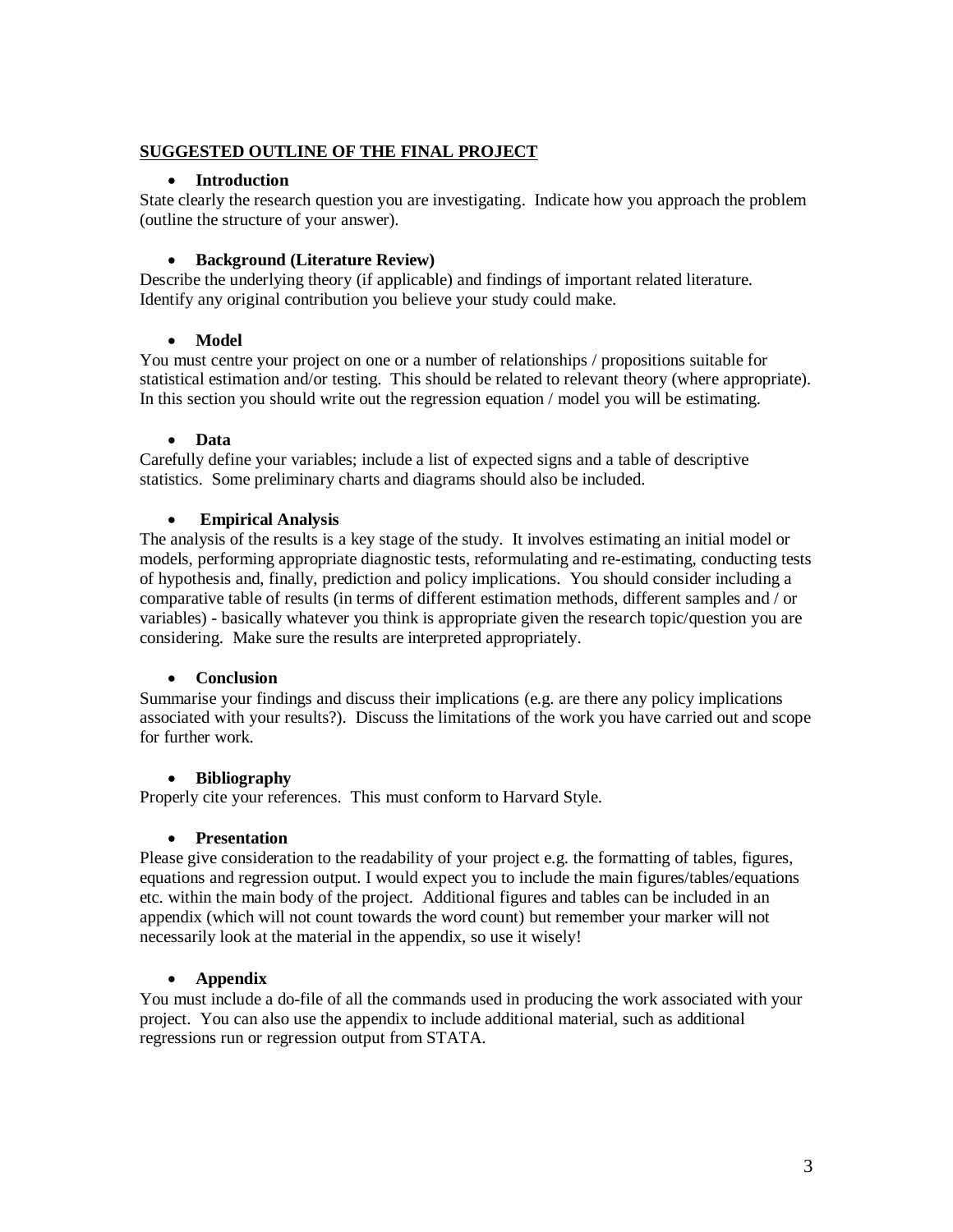#### **SUGGESTED OUTLINE OF THE FINAL PROJECT**

### • **Introduction**

State clearly the research question you are investigating. Indicate how you approach the problem (outline the structure of your answer).

### • **Background (Literature Review)**

Describe the underlying theory (if applicable) and findings of important related literature. Identify any original contribution you believe your study could make.

### • **Model**

You must centre your project on one or a number of relationships / propositions suitable for statistical estimation and/or testing. This should be related to relevant theory (where appropriate). In this section you should write out the regression equation / model you will be estimating.

### • **Data**

Carefully define your variables; include a list of expected signs and a table of descriptive statistics. Some preliminary charts and diagrams should also be included.

### • **Empirical Analysis**

The analysis of the results is a key stage of the study. It involves estimating an initial model or models, performing appropriate diagnostic tests, reformulating and re-estimating, conducting tests of hypothesis and, finally, prediction and policy implications. You should consider including a comparative table of results (in terms of different estimation methods, different samples and / or variables) - basically whatever you think is appropriate given the research topic/question you are considering. Make sure the results are interpreted appropriately.

#### • **Conclusion**

Summarise your findings and discuss their implications (e.g. are there any policy implications associated with your results?). Discuss the limitations of the work you have carried out and scope for further work.

## • **Bibliography**

Properly cite your references. This must conform to Harvard Style.

#### • **Presentation**

Please give consideration to the readability of your project e.g. the formatting of tables, figures, equations and regression output. I would expect you to include the main figures/tables/equations etc. within the main body of the project. Additional figures and tables can be included in an appendix (which will not count towards the word count) but remember your marker will not necessarily look at the material in the appendix, so use it wisely!

## • **Appendix**

You must include a do-file of all the commands used in producing the work associated with your project. You can also use the appendix to include additional material, such as additional regressions run or regression output from STATA.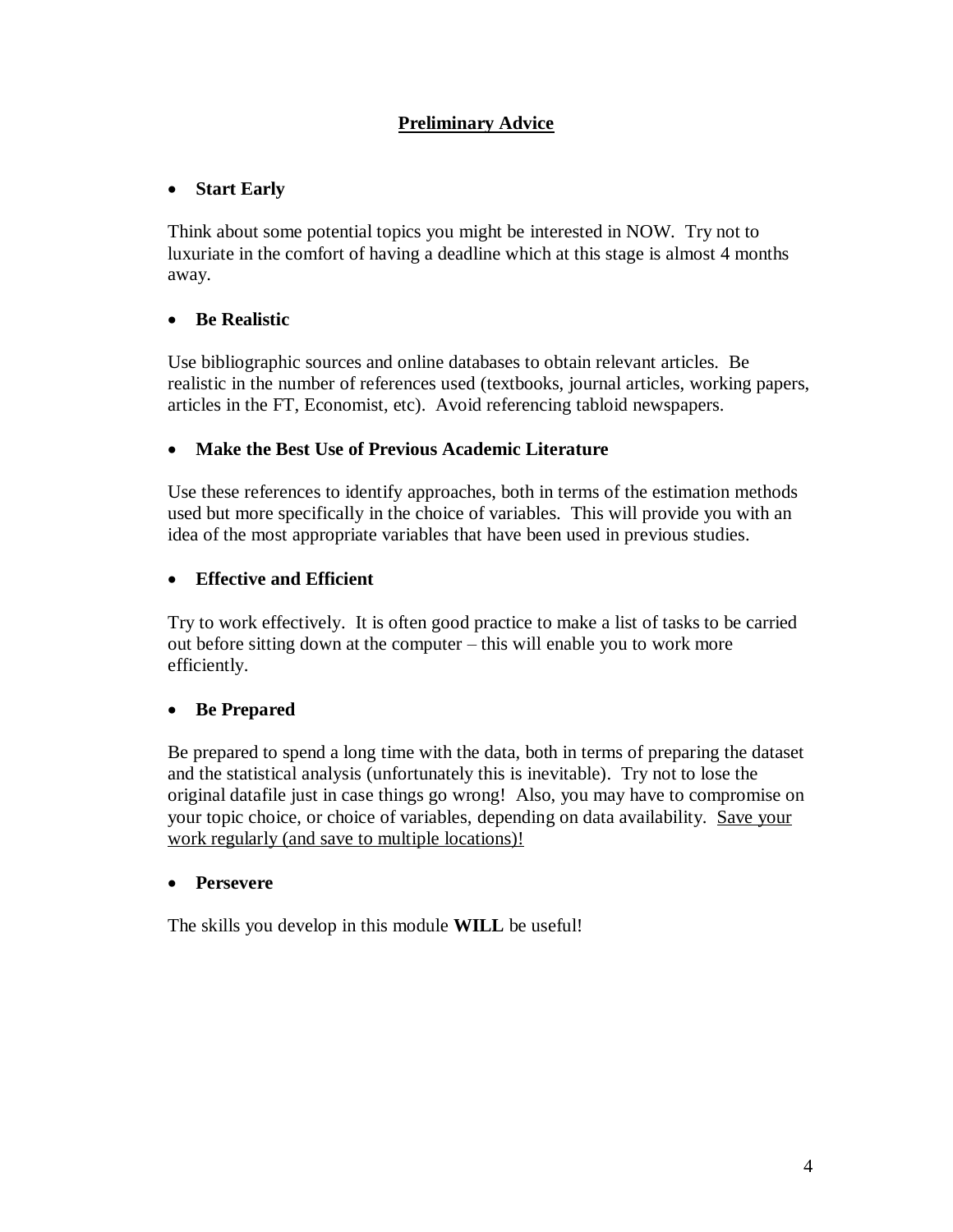# **Preliminary Advice**

# • **Start Early**

Think about some potential topics you might be interested in NOW. Try not to luxuriate in the comfort of having a deadline which at this stage is almost 4 months away.

# • **Be Realistic**

Use bibliographic sources and online databases to obtain relevant articles. Be realistic in the number of references used (textbooks, journal articles, working papers, articles in the FT, Economist, etc). Avoid referencing tabloid newspapers.

## • **Make the Best Use of Previous Academic Literature**

Use these references to identify approaches, both in terms of the estimation methods used but more specifically in the choice of variables. This will provide you with an idea of the most appropriate variables that have been used in previous studies.

# • **Effective and Efficient**

Try to work effectively. It is often good practice to make a list of tasks to be carried out before sitting down at the computer – this will enable you to work more efficiently.

# • **Be Prepared**

Be prepared to spend a long time with the data, both in terms of preparing the dataset and the statistical analysis (unfortunately this is inevitable). Try not to lose the original datafile just in case things go wrong! Also, you may have to compromise on your topic choice, or choice of variables, depending on data availability. Save your work regularly (and save to multiple locations)!

## • **Persevere**

The skills you develop in this module **WILL** be useful!